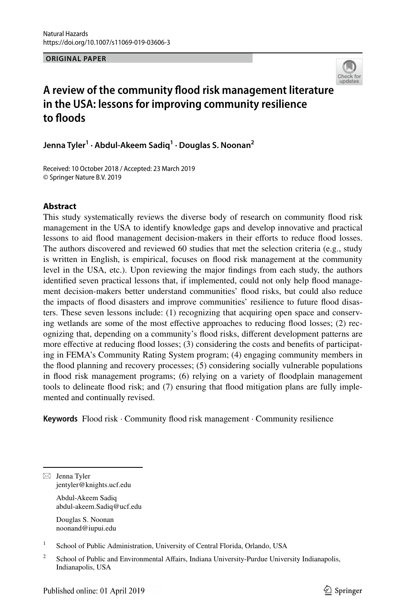**ORIGINAL PAPER**



# **A review of the community food risk management literature in the USA: lessons for improving community resilience to foods**

**Jenna Tyler1 · Abdul‑Akeem Sadiq1 · Douglas S. Noonan2**

Received: 10 October 2018 / Accepted: 23 March 2019 © Springer Nature B.V. 2019

# **Abstract**

This study systematically reviews the diverse body of research on community food risk management in the USA to identify knowledge gaps and develop innovative and practical lessons to aid food management decision-makers in their eforts to reduce food losses. The authors discovered and reviewed 60 studies that met the selection criteria (e.g., study is written in English, is empirical, focuses on food risk management at the community level in the USA, etc.). Upon reviewing the major fndings from each study, the authors identifed seven practical lessons that, if implemented, could not only help food management decision-makers better understand communities' food risks, but could also reduce the impacts of food disasters and improve communities' resilience to future food disasters. These seven lessons include: (1) recognizing that acquiring open space and conserving wetlands are some of the most efective approaches to reducing food losses; (2) recognizing that, depending on a community's food risks, diferent development patterns are more efective at reducing food losses; (3) considering the costs and benefts of participating in FEMA's Community Rating System program; (4) engaging community members in the food planning and recovery processes; (5) considering socially vulnerable populations in food risk management programs; (6) relying on a variety of foodplain management tools to delineate food risk; and (7) ensuring that food mitigation plans are fully implemented and continually revised.

**Keywords** Flood risk · Community food risk management · Community resilience

 $\boxtimes$  Jenna Tyler jentyler@knights.ucf.edu

> Abdul-Akeem Sadiq abdul-akeem.Sadiq@ucf.edu

Douglas S. Noonan noonand@iupui.edu

<sup>1</sup> School of Public Administration, University of Central Florida, Orlando, USA

<sup>&</sup>lt;sup>2</sup> School of Public and Environmental Affairs, Indiana University-Purdue University Indianapolis, Indianapolis, USA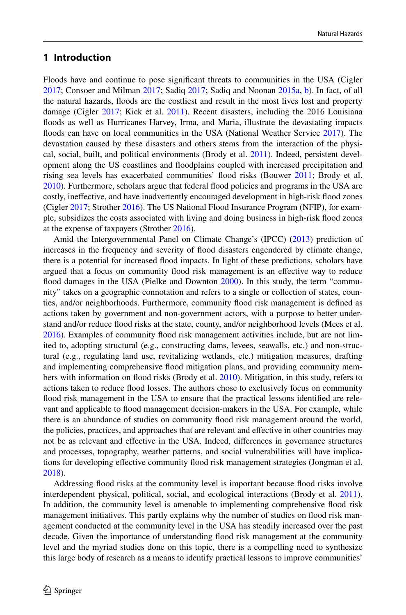# **1 Introduction**

Floods have and continue to pose signifcant threats to communities in the USA (Cigler [2017;](#page-23-0) Consoer and Milman [2017;](#page-23-1) Sadiq [2017;](#page-25-0) Sadiq and Noonan [2015a,](#page-25-1) [b](#page-25-2)). In fact, of all the natural hazards, foods are the costliest and result in the most lives lost and property damage (Cigler [2017](#page-23-0); Kick et al. [2011\)](#page-24-0). Recent disasters, including the 2016 Louisiana foods as well as Hurricanes Harvey, Irma, and Maria, illustrate the devastating impacts floods can have on local communities in the USA (National Weather Service [2017](#page-25-3)). The devastation caused by these disasters and others stems from the interaction of the physical, social, built, and political environments (Brody et al. [2011](#page-23-2)). Indeed, persistent development along the US coastlines and foodplains coupled with increased precipitation and rising sea levels has exacerbated communities' flood risks (Bouwer [2011](#page-22-0); Brody et al. [2010\)](#page-23-3). Furthermore, scholars argue that federal food policies and programs in the USA are costly, inefective, and have inadvertently encouraged development in high-risk food zones (Cigler [2017;](#page-23-0) Strother [2016\)](#page-25-4). The US National Flood Insurance Program (NFIP), for example, subsidizes the costs associated with living and doing business in high-risk food zones at the expense of taxpayers (Strother [2016\)](#page-25-4).

Amid the Intergovernmental Panel on Climate Change's (IPCC) ([2013\)](#page-24-1) prediction of increases in the frequency and severity of food disasters engendered by climate change, there is a potential for increased food impacts. In light of these predictions, scholars have argued that a focus on community food risk management is an efective way to reduce flood damages in the USA (Pielke and Downton [2000](#page-25-5)). In this study, the term "community" takes on a geographic connotation and refers to a single or collection of states, counties, and/or neighborhoods. Furthermore, community food risk management is defned as actions taken by government and non-government actors, with a purpose to better understand and/or reduce food risks at the state, county, and/or neighborhood levels (Mees et al. [2016\)](#page-24-2). Examples of community food risk management activities include, but are not limited to, adopting structural (e.g., constructing dams, levees, seawalls, etc.) and non-structural (e.g., regulating land use, revitalizing wetlands, etc.) mitigation measures, drafting and implementing comprehensive food mitigation plans, and providing community members with information on food risks (Brody et al. [2010\)](#page-23-3). Mitigation, in this study, refers to actions taken to reduce food losses. The authors chose to exclusively focus on community food risk management in the USA to ensure that the practical lessons identifed are relevant and applicable to food management decision-makers in the USA. For example, while there is an abundance of studies on community flood risk management around the world, the policies, practices, and approaches that are relevant and efective in other countries may not be as relevant and efective in the USA. Indeed, diferences in governance structures and processes, topography, weather patterns, and social vulnerabilities will have implications for developing efective community food risk management strategies (Jongman et al. [2018\)](#page-24-3).

Addressing food risks at the community level is important because food risks involve interdependent physical, political, social, and ecological interactions (Brody et al. [2011](#page-23-2)). In addition, the community level is amenable to implementing comprehensive food risk management initiatives. This partly explains why the number of studies on food risk management conducted at the community level in the USA has steadily increased over the past decade. Given the importance of understanding food risk management at the community level and the myriad studies done on this topic, there is a compelling need to synthesize this large body of research as a means to identify practical lessons to improve communities'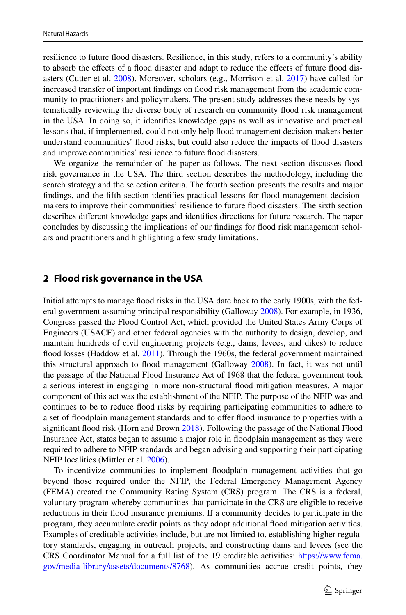resilience to future food disasters. Resilience, in this study, refers to a community's ability to absorb the effects of a flood disaster and adapt to reduce the effects of future flood disasters (Cutter et al. [2008](#page-23-4)). Moreover, scholars (e.g., Morrison et al. [2017](#page-24-4)) have called for increased transfer of important fndings on food risk management from the academic community to practitioners and policymakers. The present study addresses these needs by systematically reviewing the diverse body of research on community food risk management in the USA. In doing so, it identifes knowledge gaps as well as innovative and practical lessons that, if implemented, could not only help food management decision-makers better understand communities' food risks, but could also reduce the impacts of food disasters and improve communities' resilience to future food disasters.

We organize the remainder of the paper as follows. The next section discusses food risk governance in the USA. The third section describes the methodology, including the search strategy and the selection criteria. The fourth section presents the results and major fndings, and the ffth section identifes practical lessons for food management decisionmakers to improve their communities' resilience to future food disasters. The sixth section describes diferent knowledge gaps and identifes directions for future research. The paper concludes by discussing the implications of our fndings for food risk management scholars and practitioners and highlighting a few study limitations.

### **2 Flood risk governance in the USA**

Initial attempts to manage food risks in the USA date back to the early 1900s, with the federal government assuming principal responsibility (Galloway [2008\)](#page-24-5). For example, in 1936, Congress passed the Flood Control Act, which provided the United States Army Corps of Engineers (USACE) and other federal agencies with the authority to design, develop, and maintain hundreds of civil engineering projects (e.g., dams, levees, and dikes) to reduce food losses (Haddow et al. [2011](#page-24-6)). Through the 1960s, the federal government maintained this structural approach to food management (Galloway [2008](#page-24-5)). In fact, it was not until the passage of the National Flood Insurance Act of 1968 that the federal government took a serious interest in engaging in more non-structural food mitigation measures. A major component of this act was the establishment of the NFIP. The purpose of the NFIP was and continues to be to reduce food risks by requiring participating communities to adhere to a set of floodplain management standards and to offer flood insurance to properties with a signifcant food risk (Horn and Brown [2018](#page-24-7)). Following the passage of the National Flood Insurance Act, states began to assume a major role in foodplain management as they were required to adhere to NFIP standards and began advising and supporting their participating NFIP localities (Mittler et al. [2006](#page-24-8)).

To incentivize communities to implement foodplain management activities that go beyond those required under the NFIP, the Federal Emergency Management Agency (FEMA) created the Community Rating System (CRS) program. The CRS is a federal, voluntary program whereby communities that participate in the CRS are eligible to receive reductions in their food insurance premiums. If a community decides to participate in the program, they accumulate credit points as they adopt additional food mitigation activities. Examples of creditable activities include, but are not limited to, establishing higher regulatory standards, engaging in outreach projects, and constructing dams and levees (see the CRS Coordinator Manual for a full list of the 19 creditable activities: [https://www.fema.](https://www.fema.gov/media-library/assets/documents/8768) [gov/media-library/assets/documents/8768\)](https://www.fema.gov/media-library/assets/documents/8768). As communities accrue credit points, they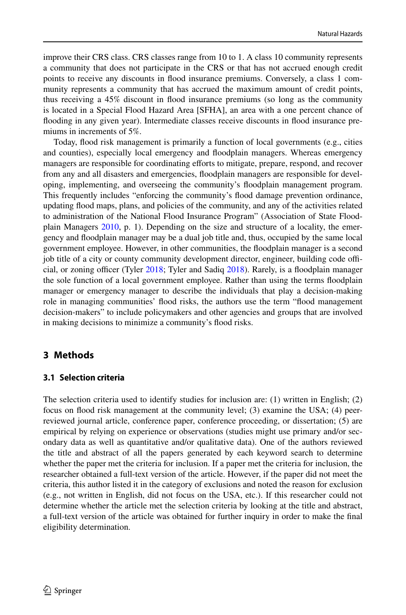improve their CRS class. CRS classes range from 10 to 1. A class 10 community represents a community that does not participate in the CRS or that has not accrued enough credit points to receive any discounts in food insurance premiums. Conversely, a class 1 community represents a community that has accrued the maximum amount of credit points, thus receiving a 45% discount in food insurance premiums (so long as the community is located in a Special Flood Hazard Area [SFHA], an area with a one percent chance of fooding in any given year). Intermediate classes receive discounts in food insurance premiums in increments of 5%.

Today, food risk management is primarily a function of local governments (e.g., cities and counties), especially local emergency and foodplain managers. Whereas emergency managers are responsible for coordinating eforts to mitigate, prepare, respond, and recover from any and all disasters and emergencies, foodplain managers are responsible for developing, implementing, and overseeing the community's foodplain management program. This frequently includes "enforcing the community's food damage prevention ordinance, updating food maps, plans, and policies of the community, and any of the activities related to administration of the National Flood Insurance Program" (Association of State Floodplain Managers [2010,](#page-22-1) p. 1). Depending on the size and structure of a locality, the emergency and foodplain manager may be a dual job title and, thus, occupied by the same local government employee. However, in other communities, the foodplain manager is a second job title of a city or county community development director, engineer, building code offi-cial, or zoning officer (Tyler [2018;](#page-25-6) Tyler and Sadiq [2018\)](#page-25-7). Rarely, is a floodplain manager the sole function of a local government employee. Rather than using the terms foodplain manager or emergency manager to describe the individuals that play a decision-making role in managing communities' food risks, the authors use the term "food management decision-makers" to include policymakers and other agencies and groups that are involved in making decisions to minimize a community's food risks.

# **3 Methods**

### **3.1 Selection criteria**

The selection criteria used to identify studies for inclusion are: (1) written in English; (2) focus on food risk management at the community level; (3) examine the USA; (4) peerreviewed journal article, conference paper, conference proceeding, or dissertation; (5) are empirical by relying on experience or observations (studies might use primary and/or secondary data as well as quantitative and/or qualitative data). One of the authors reviewed the title and abstract of all the papers generated by each keyword search to determine whether the paper met the criteria for inclusion. If a paper met the criteria for inclusion, the researcher obtained a full-text version of the article. However, if the paper did not meet the criteria, this author listed it in the category of exclusions and noted the reason for exclusion (e.g., not written in English, did not focus on the USA, etc.). If this researcher could not determine whether the article met the selection criteria by looking at the title and abstract, a full-text version of the article was obtained for further inquiry in order to make the fnal eligibility determination.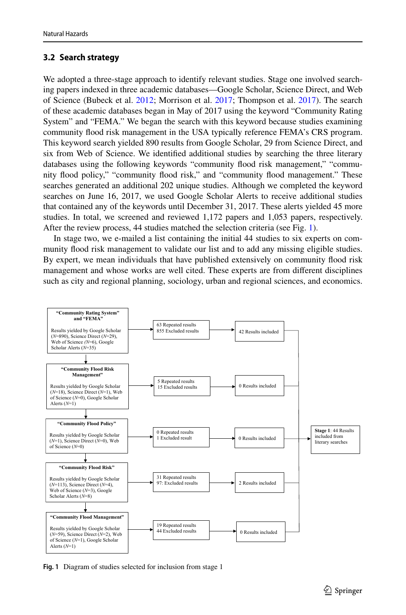# **3.2 Search strategy**

We adopted a three-stage approach to identify relevant studies. Stage one involved searching papers indexed in three academic databases—Google Scholar, Science Direct, and Web of Science (Bubeck et al. [2012](#page-23-5); Morrison et al. [2017;](#page-24-4) Thompson et al. [2017](#page-25-8)). The search of these academic databases began in May of 2017 using the keyword "Community Rating System" and "FEMA." We began the search with this keyword because studies examining community food risk management in the USA typically reference FEMA's CRS program. This keyword search yielded 890 results from Google Scholar, 29 from Science Direct, and six from Web of Science. We identifed additional studies by searching the three literary databases using the following keywords "community food risk management," "community food policy," "community food risk," and "community food management." These searches generated an additional 202 unique studies. Although we completed the keyword searches on June 16, 2017, we used Google Scholar Alerts to receive additional studies that contained any of the keywords until December 31, 2017. These alerts yielded 45 more studies. In total, we screened and reviewed 1,172 papers and 1,053 papers, respectively. After the review process, 44 studies matched the selection criteria (see Fig. [1\)](#page-4-0).

In stage two, we e-mailed a list containing the initial 44 studies to six experts on community food risk management to validate our list and to add any missing eligible studies. By expert, we mean individuals that have published extensively on community food risk management and whose works are well cited. These experts are from diferent disciplines such as city and regional planning, sociology, urban and regional sciences, and economics.



<span id="page-4-0"></span>**Fig. 1** Diagram of studies selected for inclusion from stage 1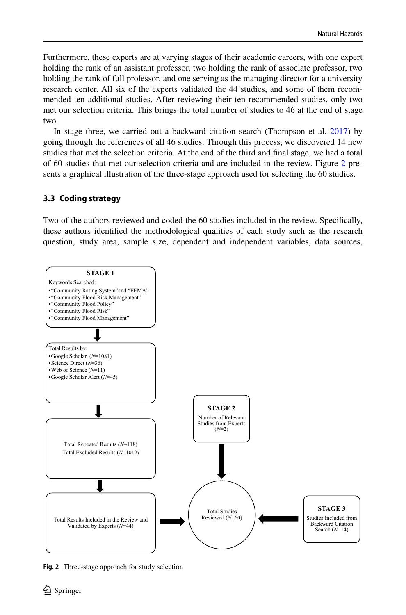Furthermore, these experts are at varying stages of their academic careers, with one expert holding the rank of an assistant professor, two holding the rank of associate professor, two holding the rank of full professor, and one serving as the managing director for a university research center. All six of the experts validated the 44 studies, and some of them recommended ten additional studies. After reviewing their ten recommended studies, only two met our selection criteria. This brings the total number of studies to 46 at the end of stage two.

In stage three, we carried out a backward citation search (Thompson et al. [2017](#page-25-8)) by going through the references of all 46 studies. Through this process, we discovered 14 new studies that met the selection criteria. At the end of the third and fnal stage, we had a total of 60 studies that met our selection criteria and are included in the review. Figure [2](#page-5-0) presents a graphical illustration of the three-stage approach used for selecting the 60 studies.

## **3.3 Coding strategy**

Two of the authors reviewed and coded the 60 studies included in the review. Specifcally, these authors identifed the methodological qualities of each study such as the research question, study area, sample size, dependent and independent variables, data sources,



<span id="page-5-0"></span>**Fig. 2** Three-stage approach for study selection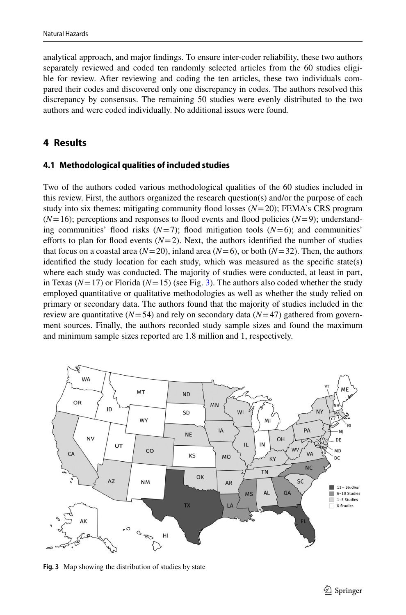analytical approach, and major fndings. To ensure inter-coder reliability, these two authors separately reviewed and coded ten randomly selected articles from the 60 studies eligible for review. After reviewing and coding the ten articles, these two individuals compared their codes and discovered only one discrepancy in codes. The authors resolved this discrepancy by consensus. The remaining 50 studies were evenly distributed to the two authors and were coded individually. No additional issues were found.

# **4 Results**

### **4.1 Methodological qualities of included studies**

Two of the authors coded various methodological qualities of the 60 studies included in this review. First, the authors organized the research question(s) and/or the purpose of each study into six themes: mitigating community flood losses  $(N=20)$ ; FEMA's CRS program  $(N=16)$ ; perceptions and responses to flood events and flood policies  $(N=9)$ ; understanding communities' flood risks  $(N=7)$ ; flood mitigation tools  $(N=6)$ ; and communities' efforts to plan for flood events  $(N=2)$ . Next, the authors identified the number of studies that focus on a coastal area ( $N=20$ ), inland area ( $N=6$ ), or both ( $N=32$ ). Then, the authors identifed the study location for each study, which was measured as the specifc state(s) where each study was conducted. The majority of studies were conducted, at least in part, in Texas ( $N=17$ ) or Florida ( $N=15$ ) (see Fig. [3](#page-6-0)). The authors also coded whether the study employed quantitative or qualitative methodologies as well as whether the study relied on primary or secondary data. The authors found that the majority of studies included in the review are quantitative ( $N=54$ ) and rely on secondary data ( $N=47$ ) gathered from government sources. Finally, the authors recorded study sample sizes and found the maximum and minimum sample sizes reported are 1.8 million and 1, respectively.



<span id="page-6-0"></span>**Fig. 3** Map showing the distribution of studies by state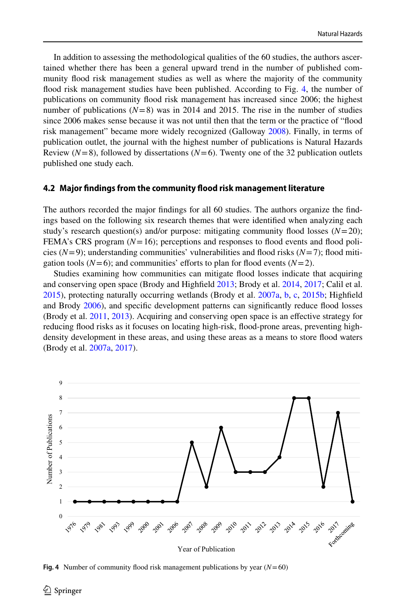In addition to assessing the methodological qualities of the 60 studies, the authors ascertained whether there has been a general upward trend in the number of published community food risk management studies as well as where the majority of the community food risk management studies have been published. According to Fig. [4](#page-7-0), the number of publications on community food risk management has increased since 2006; the highest number of publications  $(N=8)$  was in 2014 and 2015. The rise in the number of studies since 2006 makes sense because it was not until then that the term or the practice of "food risk management" became more widely recognized (Galloway [2008\)](#page-24-5). Finally, in terms of publication outlet, the journal with the highest number of publications is Natural Hazards Review ( $N=8$ ), followed by dissertations ( $N=6$ ). Twenty one of the 32 publication outlets published one study each.

#### **4.2 Major fndings from the community food risk management literature**

The authors recorded the major fndings for all 60 studies. The authors organize the fndings based on the following six research themes that were identifed when analyzing each study's research question(s) and/or purpose: mitigating community flood losses  $(N=20)$ ; FEMA's CRS program (*N*=16); perceptions and responses to food events and food policies  $(N=9)$ ; understanding communities' vulnerabilities and flood risks  $(N=7)$ ; flood mitigation tools ( $N=6$ ); and communities' efforts to plan for flood events ( $N=2$ ).

Studies examining how communities can mitigate food losses indicate that acquiring and conserving open space (Brody and Highfeld [2013;](#page-22-2) Brody et al. [2014,](#page-23-6) [2017](#page-23-7); Calil et al. [2015\)](#page-23-8), protecting naturally occurring wetlands (Brody et al. [2007a,](#page-22-3) [b,](#page-22-4) [c](#page-22-5), [2015b](#page-23-9); Highfeld and Brody [2006](#page-24-9)), and specifc development patterns can signifcantly reduce food losses (Brody et al. [2011](#page-23-2), [2013\)](#page-23-10). Acquiring and conserving open space is an efective strategy for reducing food risks as it focuses on locating high-risk, food-prone areas, preventing highdensity development in these areas, and using these areas as a means to store food waters (Brody et al. [2007a,](#page-22-3) [2017\)](#page-23-7).



<span id="page-7-0"></span>**Fig. 4** Number of community flood risk management publications by year  $(N=60)$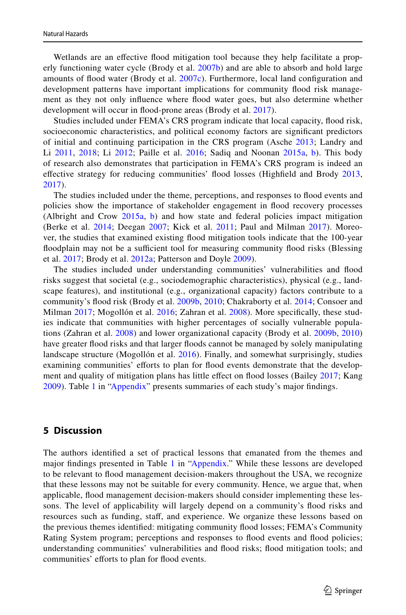Wetlands are an efective food mitigation tool because they help facilitate a properly functioning water cycle (Brody et al. [2007b\)](#page-22-4) and are able to absorb and hold large amounts of flood water (Brody et al. [2007c](#page-22-5)). Furthermore, local land configuration and development patterns have important implications for community food risk management as they not only infuence where food water goes, but also determine whether development will occur in flood-prone areas (Brody et al. [2017\)](#page-23-7).

Studies included under FEMA's CRS program indicate that local capacity, food risk, socioeconomic characteristics, and political economy factors are signifcant predictors of initial and continuing participation in the CRS program (Asche [2013;](#page-22-6) Landry and Li [2011,](#page-24-10) [2018;](#page-24-11) Li [2012;](#page-24-12) Paille et al. [2016](#page-25-9); Sadiq and Noonan [2015a,](#page-25-1) [b](#page-25-2)). This body of research also demonstrates that participation in FEMA's CRS program is indeed an efective strategy for reducing communities' food losses (Highfeld and Brody [2013](#page-24-13), [2017](#page-24-14)).

The studies included under the theme, perceptions, and responses to food events and policies show the importance of stakeholder engagement in food recovery processes (Albright and Crow [2015a,](#page-22-7) [b\)](#page-22-8) and how state and federal policies impact mitigation (Berke et al. [2014;](#page-22-9) Deegan [2007;](#page-23-11) Kick et al. [2011;](#page-24-0) Paul and Milman [2017\)](#page-25-10). Moreover, the studies that examined existing food mitigation tools indicate that the 100-year floodplain may not be a sufficient tool for measuring community flood risks (Blessing et al. [2017;](#page-22-10) Brody et al. [2012a;](#page-23-12) Patterson and Doyle [2009](#page-25-11)).

The studies included under understanding communities' vulnerabilities and food risks suggest that societal (e.g., sociodemographic characteristics), physical (e.g., landscape features), and institutional (e.g., organizational capacity) factors contribute to a community's food risk (Brody et al. [2009b](#page-23-13), [2010;](#page-23-3) Chakraborty et al. [2014](#page-23-14); Consoer and Milman [2017](#page-23-1); Mogollón et al. [2016](#page-24-15); Zahran et al. [2008\)](#page-25-12). More specifcally, these studies indicate that communities with higher percentages of socially vulnerable populations (Zahran et al. [2008\)](#page-25-12) and lower organizational capacity (Brody et al. [2009b,](#page-23-13) [2010](#page-23-3)) have greater food risks and that larger foods cannot be managed by solely manipulating landscape structure (Mogollón et al. [2016\)](#page-24-15). Finally, and somewhat surprisingly, studies examining communities' eforts to plan for food events demonstrate that the develop-ment and quality of mitigation plans has little effect on flood losses (Bailey [2017](#page-22-11); Kang [2009](#page-24-16)). Table [1](#page-16-0) in ["Appendix"](#page-15-0) presents summaries of each study's major fndings.

### **5 Discussion**

The authors identifed a set of practical lessons that emanated from the themes and major findings presented in Table [1](#page-16-0) in ["Appendix.](#page-15-0)" While these lessons are developed to be relevant to food management decision-makers throughout the USA, we recognize that these lessons may not be suitable for every community. Hence, we argue that, when applicable, food management decision-makers should consider implementing these lessons. The level of applicability will largely depend on a community's food risks and resources such as funding, staf, and experience. We organize these lessons based on the previous themes identifed: mitigating community food losses; FEMA's Community Rating System program; perceptions and responses to food events and food policies; understanding communities' vulnerabilities and food risks; food mitigation tools; and communities' efforts to plan for flood events.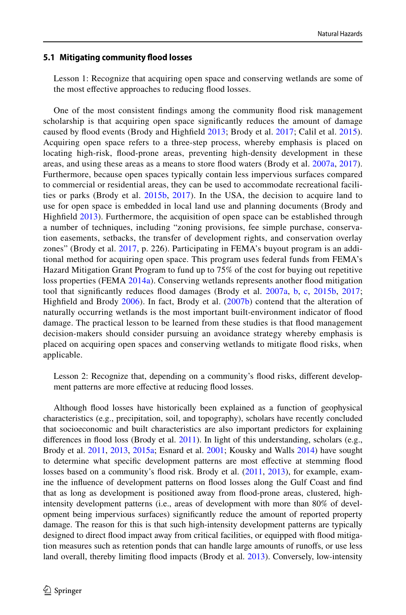#### **5.1 Mitigating community food losses**

Lesson 1: Recognize that acquiring open space and conserving wetlands are some of the most effective approaches to reducing flood losses.

One of the most consistent fndings among the community food risk management scholarship is that acquiring open space signifcantly reduces the amount of damage caused by flood events (Brody and Highfield [2013](#page-22-2); Brody et al. [2017](#page-23-7); Calil et al. [2015\)](#page-23-8). Acquiring open space refers to a three-step process, whereby emphasis is placed on locating high-risk, food-prone areas, preventing high-density development in these areas, and using these areas as a means to store food waters (Brody et al. [2007a](#page-22-3), [2017\)](#page-23-7). Furthermore, because open spaces typically contain less impervious surfaces compared to commercial or residential areas, they can be used to accommodate recreational facilities or parks (Brody et al. [2015b,](#page-23-9) [2017](#page-23-7)). In the USA, the decision to acquire land to use for open space is embedded in local land use and planning documents (Brody and Highfeld [2013](#page-22-2)). Furthermore, the acquisition of open space can be established through a number of techniques, including "zoning provisions, fee simple purchase, conservation easements, setbacks, the transfer of development rights, and conservation overlay zones" (Brody et al. [2017](#page-23-7), p. 226). Participating in FEMA's buyout program is an additional method for acquiring open space. This program uses federal funds from FEMA's Hazard Mitigation Grant Program to fund up to 75% of the cost for buying out repetitive loss properties (FEMA [2014a\)](#page-23-15). Conserving wetlands represents another food mitigation tool that significantly reduces flood damages (Brody et al. [2007a,](#page-22-3) [b,](#page-22-4) [c](#page-22-5), [2015b](#page-23-9), [2017;](#page-23-7) Highfeld and Brody [2006](#page-24-9)). In fact, Brody et al. ([2007b](#page-22-4)) contend that the alteration of naturally occurring wetlands is the most important built-environment indicator of food damage. The practical lesson to be learned from these studies is that food management decision-makers should consider pursuing an avoidance strategy whereby emphasis is placed on acquiring open spaces and conserving wetlands to mitigate food risks, when applicable.

Lesson 2: Recognize that, depending on a community's flood risks, different development patterns are more effective at reducing flood losses.

Although food losses have historically been explained as a function of geophysical characteristics (e.g., precipitation, soil, and topography), scholars have recently concluded that socioeconomic and built characteristics are also important predictors for explaining differences in flood loss (Brody et al. [2011\)](#page-23-2). In light of this understanding, scholars (e.g., Brody et al. [2011](#page-23-2), [2013,](#page-23-10) [2015a](#page-23-16); Esnard et al. [2001;](#page-23-17) Kousky and Walls [2014\)](#page-24-17) have sought to determine what specifc development patterns are most efective at stemming food losses based on a community's flood risk. Brody et al. ([2011,](#page-23-2) [2013](#page-23-10)), for example, examine the infuence of development patterns on food losses along the Gulf Coast and fnd that as long as development is positioned away from food-prone areas, clustered, highintensity development patterns (i.e., areas of development with more than 80% of development being impervious surfaces) signifcantly reduce the amount of reported property damage. The reason for this is that such high-intensity development patterns are typically designed to direct food impact away from critical facilities, or equipped with food mitigation measures such as retention ponds that can handle large amounts of runofs, or use less land overall, thereby limiting food impacts (Brody et al. [2013](#page-23-10)). Conversely, low-intensity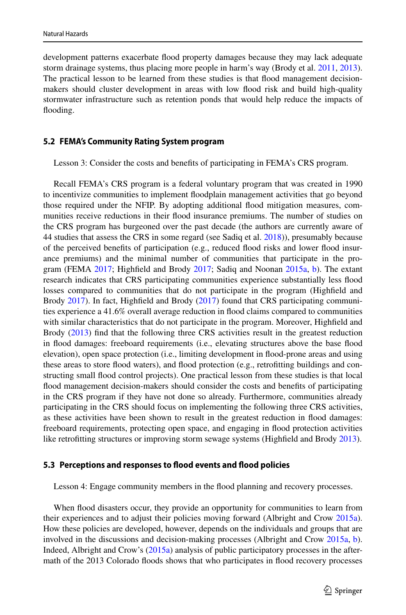development patterns exacerbate food property damages because they may lack adequate storm drainage systems, thus placing more people in harm's way (Brody et al. [2011](#page-23-2), [2013](#page-23-10)). The practical lesson to be learned from these studies is that food management decisionmakers should cluster development in areas with low food risk and build high-quality stormwater infrastructure such as retention ponds that would help reduce the impacts of flooding.

#### **5.2 FEMA's Community Rating System program**

Lesson 3: Consider the costs and benefts of participating in FEMA's CRS program.

Recall FEMA's CRS program is a federal voluntary program that was created in 1990 to incentivize communities to implement foodplain management activities that go beyond those required under the NFIP. By adopting additional flood mitigation measures, communities receive reductions in their food insurance premiums. The number of studies on the CRS program has burgeoned over the past decade (the authors are currently aware of 44 studies that assess the CRS in some regard (see Sadiq et al. [2018\)](#page-25-13)), presumably because of the perceived benefts of participation (e.g., reduced food risks and lower food insurance premiums) and the minimal number of communities that participate in the pro-gram (FEMA [2017](#page-23-18); Highfield and Brody [2017;](#page-24-14) Sadiq and Noonan [2015a,](#page-25-1) [b\)](#page-25-2). The extant research indicates that CRS participating communities experience substantially less food losses compared to communities that do not participate in the program (Highfeld and Brody [2017](#page-24-14)). In fact, Highfeld and Brody [\(2017](#page-24-14)) found that CRS participating communities experience a 41.6% overall average reduction in food claims compared to communities with similar characteristics that do not participate in the program. Moreover, Highfeld and Brody ([2013\)](#page-24-13) fnd that the following three CRS activities result in the greatest reduction in food damages: freeboard requirements (i.e., elevating structures above the base food elevation), open space protection (i.e., limiting development in food-prone areas and using these areas to store food waters), and food protection (e.g., retroftting buildings and constructing small food control projects). One practical lesson from these studies is that local food management decision-makers should consider the costs and benefts of participating in the CRS program if they have not done so already. Furthermore, communities already participating in the CRS should focus on implementing the following three CRS activities, as these activities have been shown to result in the greatest reduction in food damages: freeboard requirements, protecting open space, and engaging in food protection activities like retroftting structures or improving storm sewage systems (Highfeld and Brody [2013](#page-24-13)).

#### **5.3 Perceptions and responses to food events and food policies**

Lesson 4: Engage community members in the food planning and recovery processes.

When food disasters occur, they provide an opportunity for communities to learn from their experiences and to adjust their policies moving forward (Albright and Crow [2015a](#page-22-7)). How these policies are developed, however, depends on the individuals and groups that are involved in the discussions and decision-making processes (Albright and Crow [2015a](#page-22-7), [b](#page-22-8)). Indeed, Albright and Crow's ([2015a](#page-22-7)) analysis of public participatory processes in the aftermath of the 2013 Colorado foods shows that who participates in food recovery processes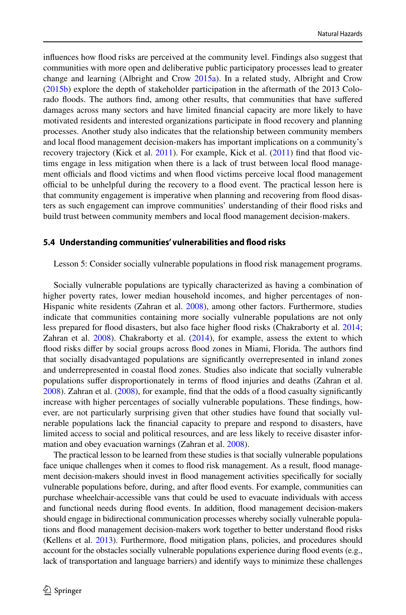infuences how food risks are perceived at the community level. Findings also suggest that communities with more open and deliberative public participatory processes lead to greater change and learning (Albright and Crow [2015a\)](#page-22-7). In a related study, Albright and Crow ([2015b\)](#page-22-8) explore the depth of stakeholder participation in the aftermath of the 2013 Colorado foods. The authors fnd, among other results, that communities that have sufered damages across many sectors and have limited fnancial capacity are more likely to have motivated residents and interested organizations participate in food recovery and planning processes. Another study also indicates that the relationship between community members and local food management decision-makers has important implications on a community's recovery trajectory (Kick et al. [2011](#page-24-0)). For example, Kick et al. [\(2011](#page-24-0)) find that flood victims engage in less mitigation when there is a lack of trust between local food management officials and flood victims and when flood victims perceive local flood management official to be unhelpful during the recovery to a flood event. The practical lesson here is that community engagement is imperative when planning and recovering from food disasters as such engagement can improve communities' understanding of their food risks and build trust between community members and local food management decision-makers.

#### **5.4 Understanding communities' vulnerabilities and food risks**

Lesson 5: Consider socially vulnerable populations in food risk management programs.

Socially vulnerable populations are typically characterized as having a combination of higher poverty rates, lower median household incomes, and higher percentages of non-Hispanic white residents (Zahran et al. [2008](#page-25-12)), among other factors. Furthermore, studies indicate that communities containing more socially vulnerable populations are not only less prepared for flood disasters, but also face higher flood risks (Chakraborty et al. [2014;](#page-23-14) Zahran et al.  $2008$ ). Chakraborty et al.  $(2014)$  $(2014)$ , for example, assess the extent to which food risks difer by social groups across food zones in Miami, Florida. The authors fnd that socially disadvantaged populations are signifcantly overrepresented in inland zones and underrepresented in coastal food zones. Studies also indicate that socially vulnerable populations sufer disproportionately in terms of food injuries and deaths (Zahran et al. [2008\)](#page-25-12). Zahran et al. [\(2008](#page-25-12)), for example, fnd that the odds of a food casualty signifcantly increase with higher percentages of socially vulnerable populations. These fndings, however, are not particularly surprising given that other studies have found that socially vulnerable populations lack the fnancial capacity to prepare and respond to disasters, have limited access to social and political resources, and are less likely to receive disaster information and obey evacuation warnings (Zahran et al. [2008\)](#page-25-12).

The practical lesson to be learned from these studies is that socially vulnerable populations face unique challenges when it comes to flood risk management. As a result, flood management decision-makers should invest in food management activities specifcally for socially vulnerable populations before, during, and after food events. For example, communities can purchase wheelchair-accessible vans that could be used to evacuate individuals with access and functional needs during food events. In addition, food management decision-makers should engage in bidirectional communication processes whereby socially vulnerable populations and food management decision-makers work together to better understand food risks (Kellens et al. [2013](#page-24-18)). Furthermore, food mitigation plans, policies, and procedures should account for the obstacles socially vulnerable populations experience during food events (e.g., lack of transportation and language barriers) and identify ways to minimize these challenges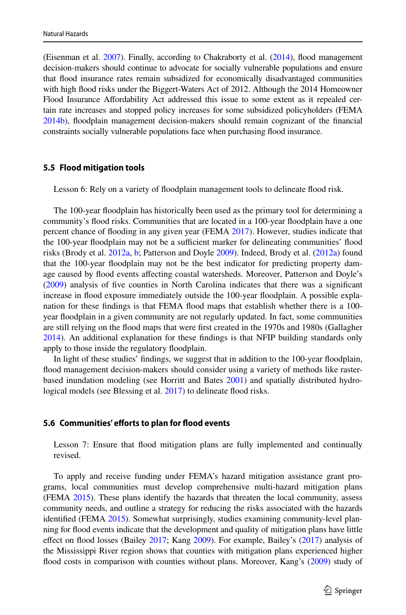(Eisenman et al. [2007](#page-23-19)). Finally, according to Chakraborty et al. [\(2014](#page-23-14)), food management decision-makers should continue to advocate for socially vulnerable populations and ensure that food insurance rates remain subsidized for economically disadvantaged communities with high food risks under the Biggert-Waters Act of 2012. Although the 2014 Homeowner Flood Insurance Afordability Act addressed this issue to some extent as it repealed certain rate increases and stopped policy increases for some subsidized policyholders (FEMA [2014b](#page-23-20)), foodplain management decision-makers should remain cognizant of the fnancial constraints socially vulnerable populations face when purchasing food insurance.

#### **5.5 Flood mitigation tools**

Lesson 6: Rely on a variety of floodplain management tools to delineate flood risk.

The 100-year foodplain has historically been used as the primary tool for determining a community's food risks. Communities that are located in a 100-year foodplain have a one percent chance of fooding in any given year (FEMA [2017\)](#page-23-18). However, studies indicate that the 100-year floodplain may not be a sufficient marker for delineating communities' flood risks (Brody et al. [2012a,](#page-23-12) [b](#page-23-21); Patterson and Doyle [2009](#page-25-11)). Indeed, Brody et al. ([2012a](#page-23-12)) found that the 100-year foodplain may not be the best indicator for predicting property damage caused by food events afecting coastal watersheds. Moreover, Patterson and Doyle's ([2009\)](#page-25-11) analysis of fve counties in North Carolina indicates that there was a signifcant increase in food exposure immediately outside the 100-year foodplain. A possible explanation for these findings is that FEMA flood maps that establish whether there is a 100year foodplain in a given community are not regularly updated. In fact, some communities are still relying on the food maps that were frst created in the 1970s and 1980s (Gallagher [2014\)](#page-23-22). An additional explanation for these fndings is that NFIP building standards only apply to those inside the regulatory foodplain.

In light of these studies' fndings, we suggest that in addition to the 100-year foodplain, food management decision-makers should consider using a variety of methods like rasterbased inundation modeling (see Horritt and Bates [2001](#page-24-19)) and spatially distributed hydro-logical models (see Blessing et al. [2017](#page-22-10)) to delineate flood risks.

#### **5.6 Communities' eforts to plan for food events**

Lesson 7: Ensure that food mitigation plans are fully implemented and continually revised.

To apply and receive funding under FEMA's hazard mitigation assistance grant programs, local communities must develop comprehensive multi-hazard mitigation plans (FEMA [2015](#page-23-23)). These plans identify the hazards that threaten the local community, assess community needs, and outline a strategy for reducing the risks associated with the hazards identifed (FEMA [2015\)](#page-23-23). Somewhat surprisingly, studies examining community-level planning for food events indicate that the development and quality of mitigation plans have little effect on flood losses (Bailey [2017](#page-22-11); Kang [2009](#page-24-16)). For example, Bailey's ([2017\)](#page-22-11) analysis of the Mississippi River region shows that counties with mitigation plans experienced higher flood costs in comparison with counties without plans. Moreover, Kang's [\(2009\)](#page-24-16) study of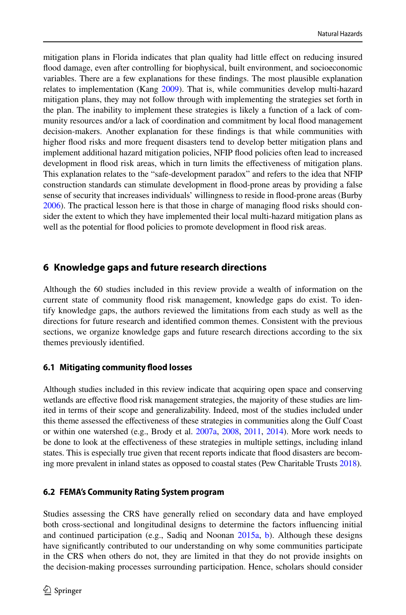mitigation plans in Florida indicates that plan quality had little efect on reducing insured food damage, even after controlling for biophysical, built environment, and socioeconomic variables. There are a few explanations for these fndings. The most plausible explanation relates to implementation (Kang [2009\)](#page-24-16). That is, while communities develop multi-hazard mitigation plans, they may not follow through with implementing the strategies set forth in the plan. The inability to implement these strategies is likely a function of a lack of community resources and/or a lack of coordination and commitment by local food management decision-makers. Another explanation for these fndings is that while communities with higher food risks and more frequent disasters tend to develop better mitigation plans and implement additional hazard mitigation policies, NFIP food policies often lead to increased development in food risk areas, which in turn limits the efectiveness of mitigation plans. This explanation relates to the "safe-development paradox" and refers to the idea that NFIP construction standards can stimulate development in food-prone areas by providing a false sense of security that increases individuals' willingness to reside in food-prone areas (Burby [2006\)](#page-23-24). The practical lesson here is that those in charge of managing food risks should consider the extent to which they have implemented their local multi-hazard mitigation plans as well as the potential for food policies to promote development in food risk areas.

# **6 Knowledge gaps and future research directions**

Although the 60 studies included in this review provide a wealth of information on the current state of community food risk management, knowledge gaps do exist. To identify knowledge gaps, the authors reviewed the limitations from each study as well as the directions for future research and identifed common themes. Consistent with the previous sections, we organize knowledge gaps and future research directions according to the six themes previously identifed.

### **6.1 Mitigating community food losses**

Although studies included in this review indicate that acquiring open space and conserving wetlands are efective food risk management strategies, the majority of these studies are limited in terms of their scope and generalizability. Indeed, most of the studies included under this theme assessed the efectiveness of these strategies in communities along the Gulf Coast or within one watershed (e.g., Brody et al.  $2007a$ ,  $2008$ ,  $2011$ ,  $2014$ ). More work needs to be done to look at the efectiveness of these strategies in multiple settings, including inland states. This is especially true given that recent reports indicate that food disasters are becoming more prevalent in inland states as opposed to coastal states (Pew Charitable Trusts [2018](#page-25-14)).

#### **6.2 FEMA's Community Rating System program**

Studies assessing the CRS have generally relied on secondary data and have employed both cross-sectional and longitudinal designs to determine the factors infuencing initial and continued participation (e.g., Sadiq and Noonan [2015a,](#page-25-1) [b\)](#page-25-2). Although these designs have signifcantly contributed to our understanding on why some communities participate in the CRS when others do not, they are limited in that they do not provide insights on the decision-making processes surrounding participation. Hence, scholars should consider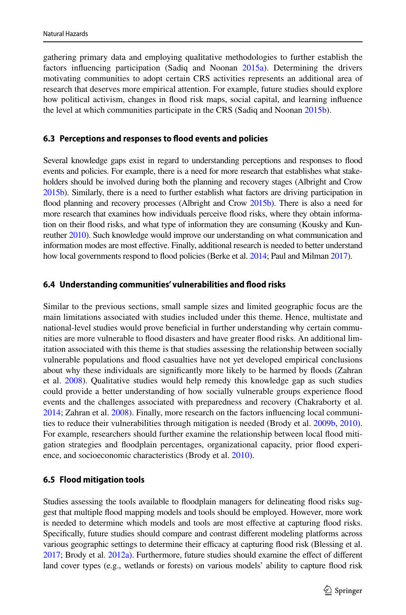gathering primary data and employing qualitative methodologies to further establish the factors infuencing participation (Sadiq and Noonan [2015a\)](#page-25-1). Determining the drivers motivating communities to adopt certain CRS activities represents an additional area of research that deserves more empirical attention. For example, future studies should explore how political activism, changes in food risk maps, social capital, and learning infuence the level at which communities participate in the CRS (Sadiq and Noonan [2015b\)](#page-25-2).

#### **6.3 Perceptions and responses to food events and policies**

Several knowledge gaps exist in regard to understanding perceptions and responses to food events and policies. For example, there is a need for more research that establishes what stakeholders should be involved during both the planning and recovery stages (Albright and Crow [2015b\)](#page-22-8). Similarly, there is a need to further establish what factors are driving participation in flood planning and recovery processes (Albright and Crow [2015b\)](#page-22-8). There is also a need for more research that examines how individuals perceive food risks, where they obtain information on their food risks, and what type of information they are consuming (Kousky and Kunreuther [2010](#page-24-20)). Such knowledge would improve our understanding on what communication and information modes are most efective. Finally, additional research is needed to better understand how local governments respond to flood policies (Berke et al. [2014;](#page-22-9) Paul and Milman [2017](#page-25-10)).

#### **6.4 Understanding communities' vulnerabilities and food risks**

Similar to the previous sections, small sample sizes and limited geographic focus are the main limitations associated with studies included under this theme. Hence, multistate and national-level studies would prove benefcial in further understanding why certain communities are more vulnerable to food disasters and have greater food risks. An additional limitation associated with this theme is that studies assessing the relationship between socially vulnerable populations and food casualties have not yet developed empirical conclusions about why these individuals are signifcantly more likely to be harmed by foods (Zahran et al. [2008](#page-25-12)). Qualitative studies would help remedy this knowledge gap as such studies could provide a better understanding of how socially vulnerable groups experience food events and the challenges associated with preparedness and recovery (Chakraborty et al. [2014;](#page-23-14) Zahran et al. [2008\)](#page-25-12). Finally, more research on the factors infuencing local communities to reduce their vulnerabilities through mitigation is needed (Brody et al. [2009b](#page-23-13), [2010](#page-23-3)). For example, researchers should further examine the relationship between local food mitigation strategies and foodplain percentages, organizational capacity, prior food experience, and socioeconomic characteristics (Brody et al. [2010](#page-23-3)).

# **6.5 Flood mitigation tools**

Studies assessing the tools available to foodplain managers for delineating food risks suggest that multiple food mapping models and tools should be employed. However, more work is needed to determine which models and tools are most efective at capturing food risks. Specifcally, future studies should compare and contrast diferent modeling platforms across various geographic settings to determine their efficacy at capturing flood risk (Blessing et al. [2017](#page-22-10); Brody et al. [2012a\)](#page-23-12). Furthermore, future studies should examine the efect of diferent land cover types (e.g., wetlands or forests) on various models' ability to capture food risk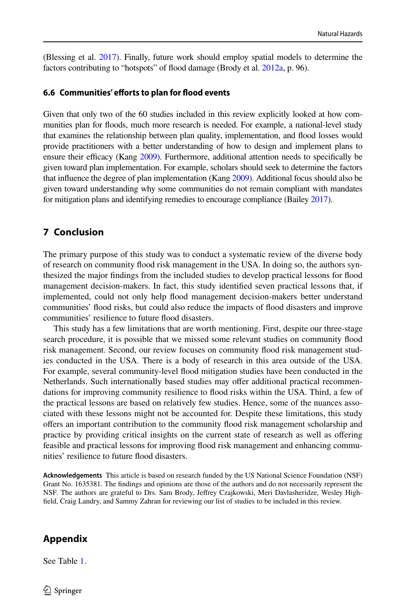(Blessing et al. [2017\)](#page-22-10). Finally, future work should employ spatial models to determine the factors contributing to "hotspots" of flood damage (Brody et al. [2012a](#page-23-12), p. 96).

### **6.6 Communities' eforts to plan for food events**

Given that only two of the 60 studies included in this review explicitly looked at how communities plan for foods, much more research is needed. For example, a national-level study that examines the relationship between plan quality, implementation, and food losses would provide practitioners with a better understanding of how to design and implement plans to ensure their efficacy (Kang [2009](#page-24-16)). Furthermore, additional attention needs to specifically be given toward plan implementation. For example, scholars should seek to determine the factors that infuence the degree of plan implementation (Kang [2009\)](#page-24-16). Additional focus should also be given toward understanding why some communities do not remain compliant with mandates for mitigation plans and identifying remedies to encourage compliance (Bailey [2017](#page-22-11)).

# **7 Conclusion**

The primary purpose of this study was to conduct a systematic review of the diverse body of research on community food risk management in the USA. In doing so, the authors synthesized the major fndings from the included studies to develop practical lessons for food management decision-makers. In fact, this study identifed seven practical lessons that, if implemented, could not only help food management decision-makers better understand communities' food risks, but could also reduce the impacts of food disasters and improve communities' resilience to future food disasters.

This study has a few limitations that are worth mentioning. First, despite our three-stage search procedure, it is possible that we missed some relevant studies on community food risk management. Second, our review focuses on community food risk management studies conducted in the USA. There is a body of research in this area outside of the USA. For example, several community-level flood mitigation studies have been conducted in the Netherlands. Such internationally based studies may offer additional practical recommendations for improving community resilience to food risks within the USA. Third, a few of the practical lessons are based on relatively few studies. Hence, some of the nuances associated with these lessons might not be accounted for. Despite these limitations, this study ofers an important contribution to the community food risk management scholarship and practice by providing critical insights on the current state of research as well as ofering feasible and practical lessons for improving food risk management and enhancing communities' resilience to future flood disasters.

**Acknowledgements** This article is based on research funded by the US National Science Foundation (NSF) Grant No. 1635381. The fndings and opinions are those of the authors and do not necessarily represent the NSF. The authors are grateful to Drs. Sam Brody, Jefrey Czajkowski, Meri Davlasheridze, Wesley Highfeld, Craig Landry, and Sammy Zahran for reviewing our list of studies to be included in this review.

### <span id="page-15-0"></span>**Appendix**

See Table [1](#page-16-0).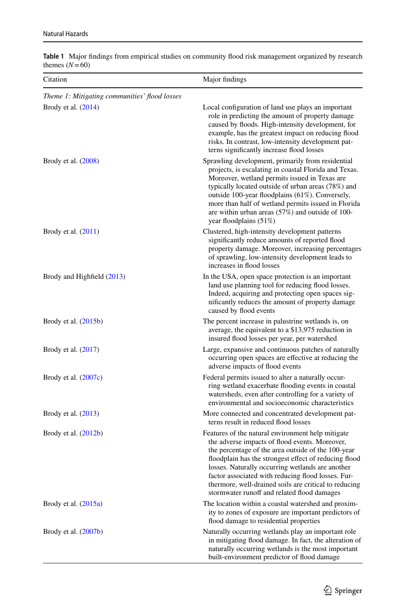| $uncines$ $(11 - 00)$                         |                                                                                                                                                                                                                                                                                                                                                                                                                                      |
|-----------------------------------------------|--------------------------------------------------------------------------------------------------------------------------------------------------------------------------------------------------------------------------------------------------------------------------------------------------------------------------------------------------------------------------------------------------------------------------------------|
| Citation                                      | Major findings                                                                                                                                                                                                                                                                                                                                                                                                                       |
| Theme 1: Mitigating communities' flood losses |                                                                                                                                                                                                                                                                                                                                                                                                                                      |
| Brody et al. (2014)                           | Local configuration of land use plays an important<br>role in predicting the amount of property damage<br>caused by floods. High-intensity development, for<br>example, has the greatest impact on reducing flood<br>risks. In contrast, low-intensity development pat-<br>terns significantly increase flood losses                                                                                                                 |
| Brody et al. $(2008)$                         | Sprawling development, primarily from residential<br>projects, is escalating in coastal Florida and Texas.<br>Moreover, wetland permits issued in Texas are<br>typically located outside of urban areas (78%) and<br>outside 100-year floodplains (61%). Conversely,<br>more than half of wetland permits issued in Florida<br>are within urban areas $(57%)$ and outside of 100-<br>year floodplains (51%)                          |
| Brody et al. $(2011)$                         | Clustered, high-intensity development patterns<br>significantly reduce amounts of reported flood<br>property damage. Moreover, increasing percentages<br>of sprawling, low-intensity development leads to<br>increases in flood losses                                                                                                                                                                                               |
| Brody and Highfield (2013)                    | In the USA, open space protection is an important<br>land use planning tool for reducing flood losses.<br>Indeed, acquiring and protecting open spaces sig-<br>nificantly reduces the amount of property damage<br>caused by flood events                                                                                                                                                                                            |
| Brody et al. $(2015b)$                        | The percent increase in palustrine wetlands is, on<br>average, the equivalent to a \$13,975 reduction in<br>insured flood losses per year, per watershed                                                                                                                                                                                                                                                                             |
| Brody et al. $(2017)$                         | Large, expansive and continuous patches of naturally<br>occurring open spaces are effective at reducing the<br>adverse impacts of flood events                                                                                                                                                                                                                                                                                       |
| Brody et al. $(2007c)$                        | Federal permits issued to alter a naturally occur-<br>ring wetland exacerbate flooding events in coastal<br>watersheds, even after controlling for a variety of<br>environmental and socioeconomic characteristics                                                                                                                                                                                                                   |
| Brody et al. (2013)                           | More connected and concentrated development pat-<br>terns result in reduced flood losses                                                                                                                                                                                                                                                                                                                                             |
| Brody et al. $(2012b)$                        | Features of the natural environment help mitigate<br>the adverse impacts of flood events. Moreover,<br>the percentage of the area outside of the 100-year<br>floodplain has the strongest effect of reducing flood<br>losses. Naturally occurring wetlands are another<br>factor associated with reducing flood losses. Fur-<br>thermore, well-drained soils are critical to reducing<br>stormwater runoff and related flood damages |
| Brody et al. $(2015a)$                        | The location within a coastal watershed and proxim-<br>ity to zones of exposure are important predictors of<br>flood damage to residential properties                                                                                                                                                                                                                                                                                |
| Brody et al. (2007b)                          | Naturally occurring wetlands play an important role<br>in mitigating flood damage. In fact, the alteration of<br>naturally occurring wetlands is the most important<br>built-environment predictor of flood damage                                                                                                                                                                                                                   |

<span id="page-16-0"></span>**Table 1** Major fndings from empirical studies on community food risk management organized by research themes  $(N=60)$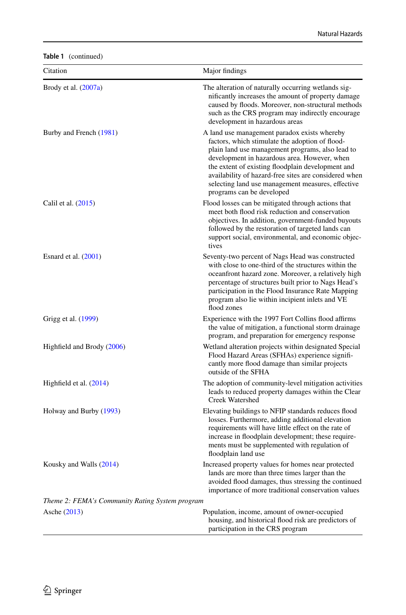**Table 1** (continued)

| Citation                                        | Major findings                                                                                                                                                                                                                                                                                                                                                                                      |
|-------------------------------------------------|-----------------------------------------------------------------------------------------------------------------------------------------------------------------------------------------------------------------------------------------------------------------------------------------------------------------------------------------------------------------------------------------------------|
| Brody et al. $(2007a)$                          | The alteration of naturally occurring wetlands sig-<br>nificantly increases the amount of property damage<br>caused by floods. Moreover, non-structural methods<br>such as the CRS program may indirectly encourage<br>development in hazardous areas                                                                                                                                               |
| Burby and French (1981)                         | A land use management paradox exists whereby<br>factors, which stimulate the adoption of flood-<br>plain land use management programs, also lead to<br>development in hazardous area. However, when<br>the extent of existing floodplain development and<br>availability of hazard-free sites are considered when<br>selecting land use management measures, effective<br>programs can be developed |
| Calil et al. (2015)                             | Flood losses can be mitigated through actions that<br>meet both flood risk reduction and conservation<br>objectives. In addition, government-funded buyouts<br>followed by the restoration of targeted lands can<br>support social, environmental, and economic objec-<br>tives                                                                                                                     |
| Esnard et al. $(2001)$                          | Seventy-two percent of Nags Head was constructed<br>with close to one-third of the structures within the<br>oceanfront hazard zone. Moreover, a relatively high<br>percentage of structures built prior to Nags Head's<br>participation in the Flood Insurance Rate Mapping<br>program also lie within incipient inlets and VE<br>flood zones                                                       |
| Grigg et al. (1999)                             | Experience with the 1997 Fort Collins flood affirms<br>the value of mitigation, a functional storm drainage<br>program, and preparation for emergency response                                                                                                                                                                                                                                      |
| Highfield and Brody (2006)                      | Wetland alteration projects within designated Special<br>Flood Hazard Areas (SFHAs) experience signifi-<br>cantly more flood damage than similar projects<br>outside of the SFHA                                                                                                                                                                                                                    |
| Highfield et al. $(2014)$                       | The adoption of community-level mitigation activities<br>leads to reduced property damages within the Clear<br><b>Creek Watershed</b>                                                                                                                                                                                                                                                               |
| Holway and Burby (1993)                         | Elevating buildings to NFIP standards reduces flood<br>losses. Furthermore, adding additional elevation<br>requirements will have little effect on the rate of<br>increase in floodplain development; these require-<br>ments must be supplemented with regulation of<br>floodplain land use                                                                                                        |
| Kousky and Walls (2014)                         | Increased property values for homes near protected<br>lands are more than three times larger than the<br>avoided flood damages, thus stressing the continued<br>importance of more traditional conservation values                                                                                                                                                                                  |
| Theme 2: FEMA's Community Rating System program |                                                                                                                                                                                                                                                                                                                                                                                                     |
| Asche (2013)                                    | Population, income, amount of owner-occupied<br>housing, and historical flood risk are predictors of<br>participation in the CRS program                                                                                                                                                                                                                                                            |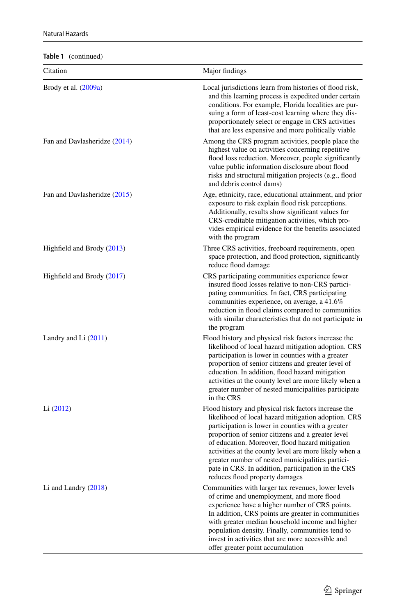**Table 1** (continued)

| $i$ avic $i$ (continued)<br>Citation | Major findings                                                                                                                                                                                                                                                                                                                                                                                                                                                                |
|--------------------------------------|-------------------------------------------------------------------------------------------------------------------------------------------------------------------------------------------------------------------------------------------------------------------------------------------------------------------------------------------------------------------------------------------------------------------------------------------------------------------------------|
| Brody et al. $(2009a)$               | Local jurisdictions learn from histories of flood risk,<br>and this learning process is expedited under certain<br>conditions. For example, Florida localities are pur-<br>suing a form of least-cost learning where they dis-<br>proportionately select or engage in CRS activities<br>that are less expensive and more politically viable                                                                                                                                   |
| Fan and Davlasheridze (2014)         | Among the CRS program activities, people place the<br>highest value on activities concerning repetitive<br>flood loss reduction. Moreover, people significantly<br>value public information disclosure about flood<br>risks and structural mitigation projects (e.g., flood<br>and debris control dams)                                                                                                                                                                       |
| Fan and Davlasheridze (2015)         | Age, ethnicity, race, educational attainment, and prior<br>exposure to risk explain flood risk perceptions.<br>Additionally, results show significant values for<br>CRS-creditable mitigation activities, which pro-<br>vides empirical evidence for the benefits associated<br>with the program                                                                                                                                                                              |
| Highfield and Brody (2013)           | Three CRS activities, freeboard requirements, open<br>space protection, and flood protection, significantly<br>reduce flood damage                                                                                                                                                                                                                                                                                                                                            |
| Highfield and Brody (2017)           | CRS participating communities experience fewer<br>insured flood losses relative to non-CRS partici-<br>pating communities. In fact, CRS participating<br>communities experience, on average, a 41.6%<br>reduction in flood claims compared to communities<br>with similar characteristics that do not participate in<br>the program                                                                                                                                           |
| Landry and Li $(2011)$               | Flood history and physical risk factors increase the<br>likelihood of local hazard mitigation adoption. CRS<br>participation is lower in counties with a greater<br>proportion of senior citizens and greater level of<br>education. In addition, flood hazard mitigation<br>activities at the county level are more likely when a<br>greater number of nested municipalities participate<br>in the CRS                                                                       |
| Li $(2012)$                          | Flood history and physical risk factors increase the<br>likelihood of local hazard mitigation adoption. CRS<br>participation is lower in counties with a greater<br>proportion of senior citizens and a greater level<br>of education. Moreover, flood hazard mitigation<br>activities at the county level are more likely when a<br>greater number of nested municipalities partici-<br>pate in CRS. In addition, participation in the CRS<br>reduces flood property damages |
| Li and Landry $(2018)$               | Communities with larger tax revenues, lower levels<br>of crime and unemployment, and more flood<br>experience have a higher number of CRS points.<br>In addition, CRS points are greater in communities<br>with greater median household income and higher<br>population density. Finally, communities tend to<br>invest in activities that are more accessible and<br>offer greater point accumulation                                                                       |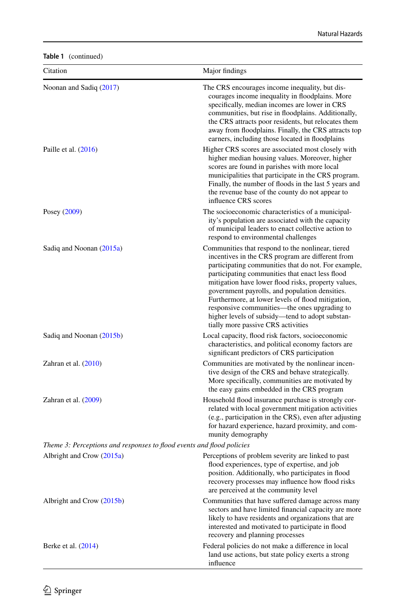| Table 1 (continued) |
|---------------------|
|---------------------|

| Citation                                                              | Major findings                                                                                                                                                                                                                                                                                                                                                                                                                                                                                                         |
|-----------------------------------------------------------------------|------------------------------------------------------------------------------------------------------------------------------------------------------------------------------------------------------------------------------------------------------------------------------------------------------------------------------------------------------------------------------------------------------------------------------------------------------------------------------------------------------------------------|
| Noonan and Sadiq (2017)                                               | The CRS encourages income inequality, but dis-<br>courages income inequality in floodplains. More<br>specifically, median incomes are lower in CRS<br>communities, but rise in floodplains. Additionally,<br>the CRS attracts poor residents, but relocates them<br>away from floodplains. Finally, the CRS attracts top<br>earners, including those located in floodplains                                                                                                                                            |
| Paille et al. (2016)                                                  | Higher CRS scores are associated most closely with<br>higher median housing values. Moreover, higher<br>scores are found in parishes with more local<br>municipalities that participate in the CRS program.<br>Finally, the number of floods in the last 5 years and<br>the revenue base of the county do not appear to<br>influence CRS scores                                                                                                                                                                        |
| Posey (2009)                                                          | The socioeconomic characteristics of a municipal-<br>ity's population are associated with the capacity<br>of municipal leaders to enact collective action to<br>respond to environmental challenges                                                                                                                                                                                                                                                                                                                    |
| Sadiq and Noonan (2015a)                                              | Communities that respond to the nonlinear, tiered<br>incentives in the CRS program are different from<br>participating communities that do not. For example,<br>participating communities that enact less flood<br>mitigation have lower flood risks, property values,<br>government payrolls, and population densities.<br>Furthermore, at lower levels of flood mitigation,<br>responsive communities—the ones upgrading to<br>higher levels of subsidy-tend to adopt substan-<br>tially more passive CRS activities |
| Sadiq and Noonan (2015b)                                              | Local capacity, flood risk factors, socioeconomic<br>characteristics, and political economy factors are<br>significant predictors of CRS participation                                                                                                                                                                                                                                                                                                                                                                 |
| Zahran et al. $(2010)$                                                | Communities are motivated by the nonlinear incen-<br>tive design of the CRS and behave strategically.<br>More specifically, communities are motivated by<br>the easy gains embedded in the CRS program                                                                                                                                                                                                                                                                                                                 |
| Zahran et al. $(2009)$                                                | Household flood insurance purchase is strongly cor-<br>related with local government mitigation activities<br>(e.g., participation in the CRS), even after adjusting<br>for hazard experience, hazard proximity, and com-<br>munity demography                                                                                                                                                                                                                                                                         |
| Theme 3: Perceptions and responses to flood events and flood policies |                                                                                                                                                                                                                                                                                                                                                                                                                                                                                                                        |
| Albright and Crow (2015a)                                             | Perceptions of problem severity are linked to past<br>flood experiences, type of expertise, and job<br>position. Additionally, who participates in flood<br>recovery processes may influence how flood risks<br>are perceived at the community level                                                                                                                                                                                                                                                                   |
| Albright and Crow (2015b)                                             | Communities that have suffered damage across many<br>sectors and have limited financial capacity are more<br>likely to have residents and organizations that are<br>interested and motivated to participate in flood<br>recovery and planning processes                                                                                                                                                                                                                                                                |
| Berke et al. $(2014)$                                                 | Federal policies do not make a difference in local<br>land use actions, but state policy exerts a strong<br>influence                                                                                                                                                                                                                                                                                                                                                                                                  |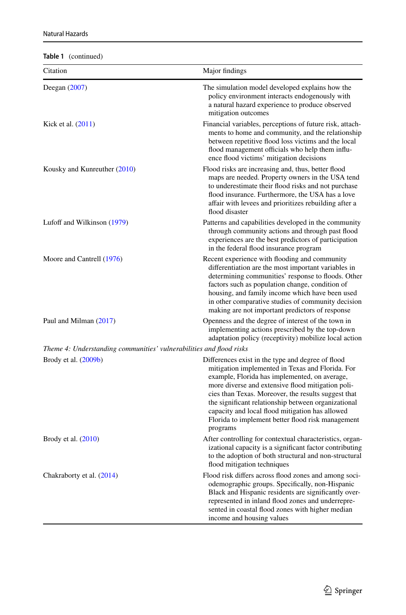**Table 1** (continued)

| $\mathbf{u}$<br>Citation                                            | Major findings                                                                                                                                                                                                                                                                                                                                                                                                                                |
|---------------------------------------------------------------------|-----------------------------------------------------------------------------------------------------------------------------------------------------------------------------------------------------------------------------------------------------------------------------------------------------------------------------------------------------------------------------------------------------------------------------------------------|
| Deegan $(2007)$                                                     | The simulation model developed explains how the<br>policy environment interacts endogenously with<br>a natural hazard experience to produce observed<br>mitigation outcomes                                                                                                                                                                                                                                                                   |
| Kick et al. (2011)                                                  | Financial variables, perceptions of future risk, attach-<br>ments to home and community, and the relationship<br>between repetitive flood loss victims and the local<br>flood management officials who help them influ-<br>ence flood victims' mitigation decisions                                                                                                                                                                           |
| Kousky and Kunreuther (2010)                                        | Flood risks are increasing and, thus, better flood<br>maps are needed. Property owners in the USA tend<br>to underestimate their flood risks and not purchase<br>flood insurance. Furthermore, the USA has a love<br>affair with levees and prioritizes rebuilding after a<br>flood disaster                                                                                                                                                  |
| Lufoff and Wilkinson (1979)                                         | Patterns and capabilities developed in the community<br>through community actions and through past flood<br>experiences are the best predictors of participation<br>in the federal flood insurance program                                                                                                                                                                                                                                    |
| Moore and Cantrell (1976)                                           | Recent experience with flooding and community<br>differentiation are the most important variables in<br>determining communities' response to floods. Other<br>factors such as population change, condition of<br>housing, and family income which have been used<br>in other comparative studies of community decision<br>making are not important predictors of response                                                                     |
| Paul and Milman (2017)                                              | Openness and the degree of interest of the town in<br>implementing actions prescribed by the top-down<br>adaptation policy (receptivity) mobilize local action                                                                                                                                                                                                                                                                                |
| Theme 4: Understanding communities' vulnerabilities and flood risks |                                                                                                                                                                                                                                                                                                                                                                                                                                               |
| Brody et al. (2009b)                                                | Differences exist in the type and degree of flood<br>mitigation implemented in Texas and Florida. For<br>example, Florida has implemented, on average,<br>more diverse and extensive flood mitigation poli-<br>cies than Texas. Moreover, the results suggest that<br>the significant relationship between organizational<br>capacity and local flood mitigation has allowed<br>Florida to implement better flood risk management<br>programs |
| Brody et al. $(2010)$                                               | After controlling for contextual characteristics, organ-<br>izational capacity is a significant factor contributing<br>to the adoption of both structural and non-structural<br>flood mitigation techniques                                                                                                                                                                                                                                   |
| Chakraborty et al. (2014)                                           | Flood risk differs across flood zones and among soci-<br>odemographic groups. Specifically, non-Hispanic<br>Black and Hispanic residents are significantly over-<br>represented in inland flood zones and underrepre-<br>sented in coastal flood zones with higher median<br>income and housing values                                                                                                                                        |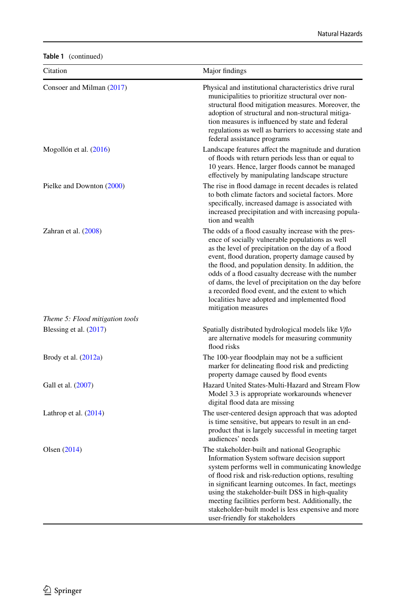**Table 1** (continued)

| Citation                        | Major findings                                                                                                                                                                                                                                                                                                                                                                                                                                                                                                     |
|---------------------------------|--------------------------------------------------------------------------------------------------------------------------------------------------------------------------------------------------------------------------------------------------------------------------------------------------------------------------------------------------------------------------------------------------------------------------------------------------------------------------------------------------------------------|
| Consoer and Milman (2017)       | Physical and institutional characteristics drive rural<br>municipalities to prioritize structural over non-<br>structural flood mitigation measures. Moreover, the<br>adoption of structural and non-structural mitiga-<br>tion measures is influenced by state and federal<br>regulations as well as barriers to accessing state and<br>federal assistance programs                                                                                                                                               |
| Mogollón et al. (2016)          | Landscape features affect the magnitude and duration<br>of floods with return periods less than or equal to<br>10 years. Hence, larger floods cannot be managed<br>effectively by manipulating landscape structure                                                                                                                                                                                                                                                                                                 |
| Pielke and Downton (2000)       | The rise in flood damage in recent decades is related<br>to both climate factors and societal factors. More<br>specifically, increased damage is associated with<br>increased precipitation and with increasing popula-<br>tion and wealth                                                                                                                                                                                                                                                                         |
| Zahran et al. (2008)            | The odds of a flood casualty increase with the pres-<br>ence of socially vulnerable populations as well<br>as the level of precipitation on the day of a flood<br>event, flood duration, property damage caused by<br>the flood, and population density. In addition, the<br>odds of a flood casualty decrease with the number<br>of dams, the level of precipitation on the day before<br>a recorded flood event, and the extent to which<br>localities have adopted and implemented flood<br>mitigation measures |
| Theme 5: Flood mitigation tools |                                                                                                                                                                                                                                                                                                                                                                                                                                                                                                                    |
| Blessing et al. $(2017)$        | Spatially distributed hydrological models like Vflo<br>are alternative models for measuring community<br>flood risks                                                                                                                                                                                                                                                                                                                                                                                               |
| Brody et al. (2012a)            | The 100-year floodplain may not be a sufficient<br>marker for delineating flood risk and predicting<br>property damage caused by flood events                                                                                                                                                                                                                                                                                                                                                                      |
| Gall et al. (2007)              | Hazard United States-Multi-Hazard and Stream Flow<br>Model 3.3 is appropriate workarounds whenever<br>digital flood data are missing                                                                                                                                                                                                                                                                                                                                                                               |
| Lathrop et al. $(2014)$         | The user-centered design approach that was adopted<br>is time sensitive, but appears to result in an end-<br>product that is largely successful in meeting target<br>audiences' needs                                                                                                                                                                                                                                                                                                                              |
| Olsen $(2014)$                  | The stakeholder-built and national Geographic<br>Information System software decision support<br>system performs well in communicating knowledge<br>of flood risk and risk-reduction options, resulting<br>in significant learning outcomes. In fact, meetings<br>using the stakeholder-built DSS in high-quality<br>meeting facilities perform best. Additionally, the<br>stakeholder-built model is less expensive and more<br>user-friendly for stakeholders                                                    |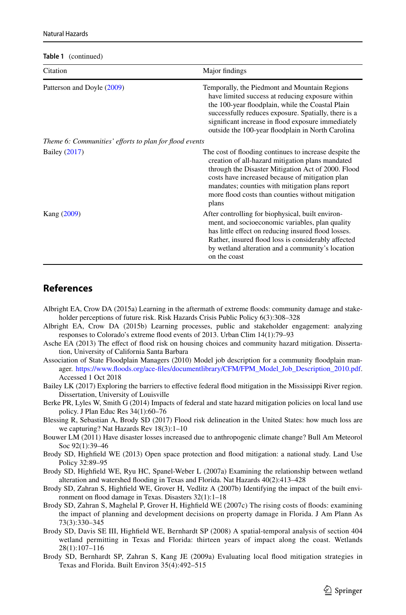**Table 1** (continued)

| Citation                                               | Major findings                                                                                                                                                                                                                                                                                                                       |
|--------------------------------------------------------|--------------------------------------------------------------------------------------------------------------------------------------------------------------------------------------------------------------------------------------------------------------------------------------------------------------------------------------|
| Patterson and Doyle (2009)                             | Temporally, the Piedmont and Mountain Regions<br>have limited success at reducing exposure within<br>the 100-year floodplain, while the Coastal Plain<br>successfully reduces exposure. Spatially, there is a<br>significant increase in flood exposure immediately<br>outside the 100-year floodplain in North Carolina             |
| Theme 6: Communities' efforts to plan for flood events |                                                                                                                                                                                                                                                                                                                                      |
| Bailey (2017)                                          | The cost of flooding continues to increase despite the<br>creation of all-hazard mitigation plans mandated<br>through the Disaster Mitigation Act of 2000. Flood<br>costs have increased because of mitigation plan<br>mandates; counties with mitigation plans report<br>more flood costs than counties without mitigation<br>plans |
| Kang (2009)                                            | After controlling for biophysical, built environ-<br>ment, and socioeconomic variables, plan quality<br>has little effect on reducing insured flood losses.<br>Rather, insured flood loss is considerably affected<br>by wetland alteration and a community's location<br>on the coast                                               |

# **References**

- <span id="page-22-7"></span>Albright EA, Crow DA (2015a) Learning in the aftermath of extreme foods: community damage and stakeholder perceptions of future risk. Risk Hazards Crisis Public Policy 6(3):308–328
- <span id="page-22-8"></span>Albright EA, Crow DA (2015b) Learning processes, public and stakeholder engagement: analyzing responses to Colorado's extreme food events of 2013. Urban Clim 14(1):79–93
- <span id="page-22-6"></span>Asche EA (2013) The efect of food risk on housing choices and community hazard mitigation. Dissertation, University of California Santa Barbara
- <span id="page-22-1"></span>Association of State Floodplain Managers (2010) Model job description for a community foodplain manager. [https://www.foods.org/ace-fles/documentlibrary/CFM/FPM\\_Model\\_Job\\_Description\\_2010.pdf.](https://www.floods.org/ace-files/documentlibrary/CFM/FPM_Model_Job_Description_2010.pdf) Accessed 1 Oct 2018
- <span id="page-22-11"></span>Bailey LK (2017) Exploring the barriers to efective federal food mitigation in the Mississippi River region. Dissertation, University of Louisville
- <span id="page-22-9"></span>Berke PR, Lyles W, Smith G (2014) Impacts of federal and state hazard mitigation policies on local land use policy. J Plan Educ Res 34(1):60–76
- <span id="page-22-10"></span>Blessing R, Sebastian A, Brody SD (2017) Flood risk delineation in the United States: how much loss are we capturing? Nat Hazards Rev 18(3):1–10
- <span id="page-22-0"></span>Bouwer LM (2011) Have disaster losses increased due to anthropogenic climate change? Bull Am Meteorol Soc 92(1):39–46
- <span id="page-22-2"></span>Brody SD, Highfeld WE (2013) Open space protection and food mitigation: a national study. Land Use Policy 32:89–95
- <span id="page-22-3"></span>Brody SD, Highfeld WE, Ryu HC, Spanel-Weber L (2007a) Examining the relationship between wetland alteration and watershed fooding in Texas and Florida. Nat Hazards 40(2):413–428
- <span id="page-22-4"></span>Brody SD, Zahran S, Highfeld WE, Grover H, Vedlitz A (2007b) Identifying the impact of the built environment on food damage in Texas. Disasters 32(1):1–18
- <span id="page-22-5"></span>Brody SD, Zahran S, Maghelal P, Grover H, Highfeld WE (2007c) The rising costs of foods: examining the impact of planning and development decisions on property damage in Florida. J Am Plann As 73(3):330–345
- <span id="page-22-12"></span>Brody SD, Davis SE III, Highfeld WE, Bernhardt SP (2008) A spatial-temporal analysis of section 404 wetland permitting in Texas and Florida: thirteen years of impact along the coast. Wetlands 28(1):107–116
- <span id="page-22-13"></span>Brody SD, Bernhardt SP, Zahran S, Kang JE (2009a) Evaluating local food mitigation strategies in Texas and Florida. Built Environ 35(4):492–515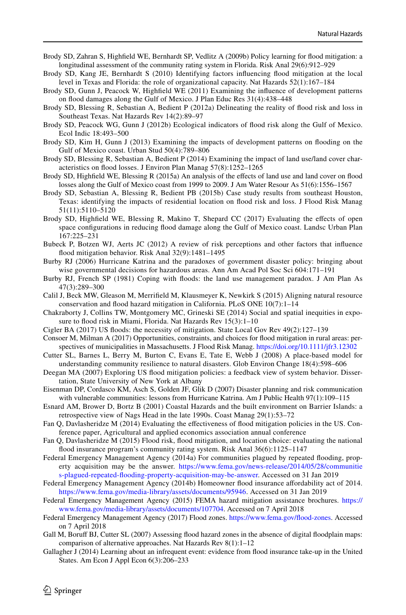- <span id="page-23-13"></span>Brody SD, Zahran S, Highfeld WE, Bernhardt SP, Vedlitz A (2009b) Policy learning for food mitigation: a longitudinal assessment of the community rating system in Florida. Risk Anal 29(6):912–929
- <span id="page-23-3"></span>Brody SD, Kang JE, Bernhardt S (2010) Identifying factors infuencing food mitigation at the local level in Texas and Florida: the role of organizational capacity. Nat Hazards 52(1):167–184
- <span id="page-23-2"></span>Brody SD, Gunn J, Peacock W, Highfeld WE (2011) Examining the infuence of development patterns on food damages along the Gulf of Mexico. J Plan Educ Res 31(4):438–448
- <span id="page-23-12"></span>Brody SD, Blessing R, Sebastian A, Bedient P (2012a) Delineating the reality of food risk and loss in Southeast Texas. Nat Hazards Rev 14(2):89–97
- <span id="page-23-21"></span>Brody SD, Peacock WG, Gunn J (2012b) Ecological indicators of food risk along the Gulf of Mexico. Ecol Indic 18:493–500
- <span id="page-23-10"></span>Brody SD, Kim H, Gunn J (2013) Examining the impacts of development patterns on fooding on the Gulf of Mexico coast. Urban Stud 50(4):789–806
- <span id="page-23-6"></span>Brody SD, Blessing R, Sebastian A, Bedient P (2014) Examining the impact of land use/land cover characteristics on food losses. J Environ Plan Manag 57(8):1252–1265
- <span id="page-23-16"></span>Brody SD, Highfeld WE, Blessing R (2015a) An analysis of the efects of land use and land cover on food losses along the Gulf of Mexico coast from 1999 to 2009. J Am Water Resour As 51(6):1556–1567
- <span id="page-23-9"></span>Brody SD, Sebastian A, Blessing R, Bedient PB (2015b) Case study results from southeast Houston, Texas: identifying the impacts of residential location on food risk and loss. J Flood Risk Manag 51(11):5110–5120
- <span id="page-23-7"></span>Brody SD, Highfield WE, Blessing R, Makino T, Shepard CC (2017) Evaluating the effects of open space confgurations in reducing food damage along the Gulf of Mexico coast. Landsc Urban Plan 167:225–231
- <span id="page-23-5"></span>Bubeck P, Botzen WJ, Aerts JC (2012) A review of risk perceptions and other factors that infuence food mitigation behavior. Risk Anal 32(9):1481–1495
- <span id="page-23-24"></span>Burby RJ (2006) Hurricane Katrina and the paradoxes of government disaster policy: bringing about wise governmental decisions for hazardous areas. Ann Am Acad Pol Soc Sci 604:171–191
- <span id="page-23-25"></span>Burby RJ, French SP (1981) Coping with foods: the land use management paradox. J Am Plan As 47(3):289–300
- <span id="page-23-8"></span>Calil J, Beck MW, Gleason M, Merrifeld M, Klausmeyer K, Newkirk S (2015) Aligning natural resource conservation and food hazard mitigation in California. PLoS ONE 10(7):1–14
- <span id="page-23-14"></span>Chakraborty J, Collins TW, Montgomery MC, Grineski SE (2014) Social and spatial inequities in exposure to flood risk in Miami, Florida. Nat Hazards Rev 15(3):1-10
- <span id="page-23-0"></span>Cigler BA (2017) US foods: the necessity of mitigation. State Local Gov Rev 49(2):127–139
- <span id="page-23-1"></span>Consoer M, Milman A (2017) Opportunities, constraints, and choices for food mitigation in rural areas: perspectives of municipalities in Massachusetts. J Flood Risk Manag. <https://doi.org/10.1111/jfr3.12302>
- <span id="page-23-4"></span>Cutter SL, Barnes L, Berry M, Burton C, Evans E, Tate E, Webb J (2008) A place-based model for understanding community resilience to natural disasters. Glob Environ Change 18(4):598–606
- <span id="page-23-11"></span>Deegan MA (2007) Exploring US food mitigation policies: a feedback view of system behavior. Dissertation, State University of New York at Albany
- <span id="page-23-19"></span>Eisenman DP, Cordasco KM, Asch S, Golden JF, Glik D (2007) Disaster planning and risk communication with vulnerable communities: lessons from Hurricane Katrina. Am J Public Health 97(1):109–115
- <span id="page-23-17"></span>Esnard AM, Brower D, Bortz B (2001) Coastal Hazards and the built environment on Barrier Islands: a retrospective view of Nags Head in the late 1990s. Coast Manag 29(1):53–72
- <span id="page-23-26"></span>Fan Q, Davlasheridze M (2014) Evaluating the efectiveness of food mitigation policies in the US. Conference paper, Agricultural and applied economics association annual conference
- <span id="page-23-27"></span>Fan Q, Davlasheridze M (2015) Flood risk, food mitigation, and location choice: evaluating the national food insurance program's community rating system. Risk Anal 36(6):1125–1147
- <span id="page-23-15"></span>Federal Emergency Management Agency (2014a) For communities plagued by repeated fooding, property acquisition may be the answer. [https://www.fema.gov/news-release/2014/05/28/communitie](https://www.fema.gov/news-release/2014/05/28/communities-plagued-repeated-flooding-property-acquisition-may-be-answer) [s-plagued-repeated-fooding-property-acquisition-may-be-answer](https://www.fema.gov/news-release/2014/05/28/communities-plagued-repeated-flooding-property-acquisition-may-be-answer). Accessed on 31 Jan 2019
- <span id="page-23-20"></span>Federal Emergency Management Agency (2014b) Homeowner flood insurance affordability act of 2014. [https://www.fema.gov/media-library/assets/documents/95946.](https://www.fema.gov/media-library/assets/documents/95946) Accessed on 31 Jan 2019
- <span id="page-23-23"></span>Federal Emergency Management Agency (2015) FEMA hazard mitigation assistance brochures. [https://](https://www.fema.gov/media-library/assets/documents/107704) [www.fema.gov/media-library/assets/documents/107704.](https://www.fema.gov/media-library/assets/documents/107704) Accessed on 7 April 2018
- <span id="page-23-18"></span>Federal Emergency Management Agency (2017) Flood zones. [https://www.fema.gov/food-zones](https://www.fema.gov/flood-zones). Accessed on 7 April 2018
- <span id="page-23-28"></span>Gall M, Boruff BJ, Cutter SL (2007) Assessing flood hazard zones in the absence of digital floodplain maps: comparison of alternative approaches. Nat Hazards Rev 8(1):1–12
- <span id="page-23-22"></span>Gallagher J (2014) Learning about an infrequent event: evidence from food insurance take-up in the United States. Am Econ J Appl Econ 6(3):206–233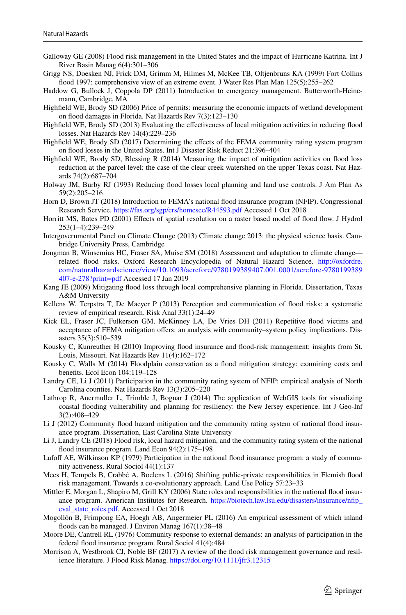- <span id="page-24-5"></span>Galloway GE (2008) Flood risk management in the United States and the impact of Hurricane Katrina. Int J River Basin Manag 6(4):301–306
- <span id="page-24-21"></span>Grigg NS, Doesken NJ, Frick DM, Grimm M, Hilmes M, McKee TB, Oltjenbruns KA (1999) Fort Collins food 1997: comprehensive view of an extreme event. J Water Res Plan Man 125(5):255–262
- <span id="page-24-6"></span>Haddow G, Bullock J, Coppola DP (2011) Introduction to emergency management. Butterworth-Heinemann, Cambridge, MA
- <span id="page-24-9"></span>Highfeld WE, Brody SD (2006) Price of permits: measuring the economic impacts of wetland development on food damages in Florida. Nat Hazards Rev 7(3):123–130
- <span id="page-24-13"></span>Highfeld WE, Brody SD (2013) Evaluating the efectiveness of local mitigation activities in reducing food losses. Nat Hazards Rev 14(4):229–236
- <span id="page-24-14"></span>Highfeld WE, Brody SD (2017) Determining the efects of the FEMA community rating system program on food losses in the United States. Int J Disaster Risk Reduct 21:396–404
- <span id="page-24-22"></span>Highfeld WE, Brody SD, Blessing R (2014) Measuring the impact of mitigation activities on food loss reduction at the parcel level: the case of the clear creek watershed on the upper Texas coast. Nat Hazards 74(2):687–704
- <span id="page-24-23"></span>Holway JM, Burby RJ (1993) Reducing food losses local planning and land use controls. J Am Plan As 59(2):205–216
- <span id="page-24-7"></span>Horn D, Brown JT (2018) Introduction to FEMA's national food insurance program (NFIP). Congressional Research Service. <https://fas.org/sgp/crs/homesec/R44593.pdf> Accessed 1 Oct 2018
- <span id="page-24-19"></span>Horritt MS, Bates PD (2001) Efects of spatial resolution on a raster based model of food fow. J Hydrol 253(1–4):239–249
- <span id="page-24-1"></span>Intergovernmental Panel on Climate Change (2013) Climate change 2013: the physical science basis. Cambridge University Press, Cambridge
- <span id="page-24-3"></span>Jongman B, Winsemius HC, Fraser SA, Muise SM (2018) Assessment and adaptation to climate change related food risks. Oxford Research Encyclopedia of Natural Hazard Science. [http://oxfordre.](http://oxfordre.com/naturalhazardscience/view/10.1093/acrefore/9780199389407.001.0001/acrefore-9780199389407-e-278%3fprint%3dpdf) [com/naturalhazardscience/view/10.1093/acrefore/9780199389407.001.0001/acrefore-9780199389](http://oxfordre.com/naturalhazardscience/view/10.1093/acrefore/9780199389407.001.0001/acrefore-9780199389407-e-278%3fprint%3dpdf) [407-e-278?print=pdf](http://oxfordre.com/naturalhazardscience/view/10.1093/acrefore/9780199389407.001.0001/acrefore-9780199389407-e-278%3fprint%3dpdf) Accessed 17 Jan 2019
- <span id="page-24-16"></span>Kang JE (2009) Mitigating food loss through local comprehensive planning in Florida. Dissertation, Texas A&M University
- <span id="page-24-18"></span>Kellens W, Terpstra T, De Maeyer P (2013) Perception and communication of food risks: a systematic review of empirical research. Risk Anal 33(1):24–49
- <span id="page-24-0"></span>Kick EL, Fraser JC, Fulkerson GM, McKinney LA, De Vries DH (2011) Repetitive food victims and acceptance of FEMA mitigation ofers: an analysis with community–system policy implications. Disasters 35(3):510–539
- <span id="page-24-20"></span>Kousky C, Kunreuther H (2010) Improving food insurance and food-risk management: insights from St. Louis, Missouri. Nat Hazards Rev 11(4):162–172
- <span id="page-24-17"></span>Kousky C, Walls M (2014) Floodplain conservation as a food mitigation strategy: examining costs and benefts. Ecol Econ 104:119–128
- <span id="page-24-10"></span>Landry CE, Li J (2011) Participation in the community rating system of NFIP: empirical analysis of North Carolina counties. Nat Hazards Rev 13(3):205–220
- <span id="page-24-26"></span>Lathrop R, Auermuller L, Trimble J, Bognar J (2014) The application of WebGIS tools for visualizing coastal fooding vulnerability and planning for resiliency: the New Jersey experience. Int J Geo-Inf 3(2):408–429
- <span id="page-24-12"></span>Li J (2012) Community flood hazard mitigation and the community rating system of national flood insurance program. Dissertation, East Carolina State University
- <span id="page-24-11"></span>Li J, Landry CE (2018) Flood risk, local hazard mitigation, and the community rating system of the national flood insurance program. Land Econ 94(2):175–198
- <span id="page-24-24"></span>Lufof AE, Wilkinson KP (1979) Participation in the national food insurance program: a study of community activeness. Rural Sociol 44(1):137
- <span id="page-24-2"></span>Mees H, Tempels B, Crabbé A, Boelens L (2016) Shifting public-private responsibilities in Flemish food risk management. Towards a co-evolutionary approach. Land Use Policy 57:23–33
- <span id="page-24-8"></span>Mittler E, Morgan L, Shapiro M, Grill KY (2006) State roles and responsibilities in the national food insurance program. American Institutes for Research. [https://biotech.law.lsu.edu/disasters/insurance/nfp\\_](https://biotech.law.lsu.edu/disasters/insurance/nfip_eval_state_roles.pdf) [eval\\_state\\_roles.pdf.](https://biotech.law.lsu.edu/disasters/insurance/nfip_eval_state_roles.pdf) Accessed 1 Oct 2018
- <span id="page-24-15"></span>Mogollón B, Frimpong EA, Hoegh AB, Angermeier PL (2016) An empirical assessment of which inland foods can be managed. J Environ Manag 167(1):38–48
- <span id="page-24-25"></span>Moore DE, Cantrell RL (1976) Community response to external demands: an analysis of participation in the federal food insurance program. Rural Sociol 41(4):484
- <span id="page-24-4"></span>Morrison A, Westbrook CJ, Noble BF (2017) A review of the food risk management governance and resilience literature. J Flood Risk Manag.<https://doi.org/10.1111/jfr3.12315>